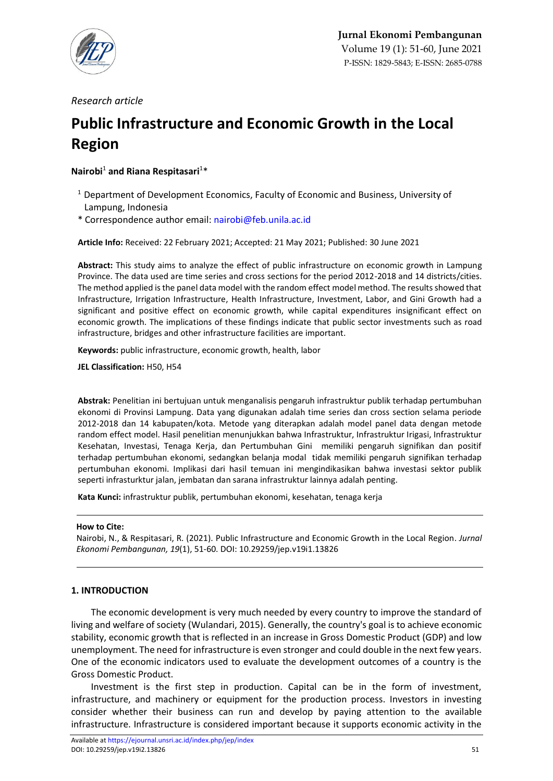

*Research article*

# **Public Infrastructure and Economic Growth in the Local Region**

# **Nairobi**<sup>1</sup> **and Riana Respitasari**<sup>1</sup>\*

- <sup>1</sup> Department of Development Economics, Faculty of Economic and Business, University of Lampung, Indonesia
- \* Correspondence author email: [nairobi@feb.unila.ac.id](mailto:nairobi@feb.unila.ac.id)

**Article Info:** Received: 22 February 2021; Accepted: 21 May 2021; Published: 30 June 2021

**Abstract:** This study aims to analyze the effect of public infrastructure on economic growth in Lampung Province. The data used are time series and cross sections for the period 2012-2018 and 14 districts/cities. The method applied is the panel data model with the random effect model method. The results showed that Infrastructure, Irrigation Infrastructure, Health Infrastructure, Investment, Labor, and Gini Growth had a significant and positive effect on economic growth, while capital expenditures insignificant effect on economic growth. The implications of these findings indicate that public sector investments such as road infrastructure, bridges and other infrastructure facilities are important.

**Keywords:** public infrastructure, economic growth, health, labor

**JEL Classification:** H50, H54

**Abstrak:** Penelitian ini bertujuan untuk menganalisis pengaruh infrastruktur publik terhadap pertumbuhan ekonomi di Provinsi Lampung. Data yang digunakan adalah time series dan cross section selama periode 2012-2018 dan 14 kabupaten/kota. Metode yang diterapkan adalah model panel data dengan metode random effect model. Hasil penelitian menunjukkan bahwa Infrastruktur, Infrastruktur Irigasi, Infrastruktur Kesehatan, Investasi, Tenaga Kerja, dan Pertumbuhan Gini memiliki pengaruh signifikan dan positif terhadap pertumbuhan ekonomi, sedangkan belanja modal tidak memiliki pengaruh signifikan terhadap pertumbuhan ekonomi. Implikasi dari hasil temuan ini mengindikasikan bahwa investasi sektor publik seperti infrasturktur jalan, jembatan dan sarana infrastruktur lainnya adalah penting.

**Kata Kunci:** infrastruktur publik, pertumbuhan ekonomi, kesehatan, tenaga kerja

#### **How to Cite:**

Nairobi, N., & Respitasari, R. (2021). Public Infrastructure and Economic Growth in the Local Region. *Jurnal Ekonomi Pembangunan, 19*(1), 51-60. DOI: 10.29259/jep.v19i1.13826

## **1. INTRODUCTION**

The economic development is very much needed by every country to improve the standard of living and welfare of society (Wulandari, 2015). Generally, the country's goal is to achieve economic stability, economic growth that is reflected in an increase in Gross Domestic Product (GDP) and low unemployment. The need for infrastructure is even stronger and could double in the next few years. One of the economic indicators used to evaluate the development outcomes of a country is the Gross Domestic Product.

Investment is the first step in production. Capital can be in the form of investment, infrastructure, and machinery or equipment for the production process. Investors in investing consider whether their business can run and develop by paying attention to the available infrastructure. Infrastructure is considered important because it supports economic activity in the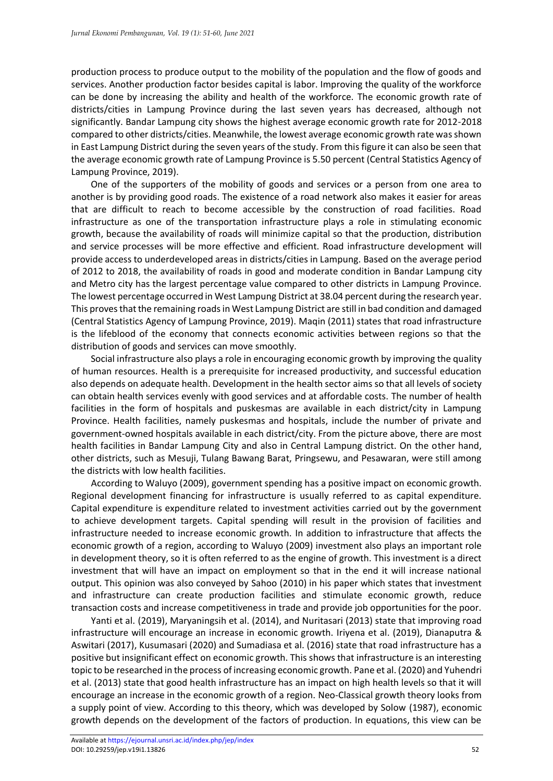production process to produce output to the mobility of the population and the flow of goods and services. Another production factor besides capital is labor. Improving the quality of the workforce can be done by increasing the ability and health of the workforce. The economic growth rate of districts/cities in Lampung Province during the last seven years has decreased, although not significantly. Bandar Lampung city shows the highest average economic growth rate for 2012-2018 compared to other districts/cities. Meanwhile, the lowest average economic growth rate was shown in East Lampung District during the seven years of the study. From this figure it can also be seen that the average economic growth rate of Lampung Province is 5.50 percent (Central Statistics Agency of Lampung Province, 2019).

One of the supporters of the mobility of goods and services or a person from one area to another is by providing good roads. The existence of a road network also makes it easier for areas that are difficult to reach to become accessible by the construction of road facilities. Road infrastructure as one of the transportation infrastructure plays a role in stimulating economic growth, because the availability of roads will minimize capital so that the production, distribution and service processes will be more effective and efficient. Road infrastructure development will provide access to underdeveloped areas in districts/cities in Lampung. Based on the average period of 2012 to 2018, the availability of roads in good and moderate condition in Bandar Lampung city and Metro city has the largest percentage value compared to other districts in Lampung Province. The lowest percentage occurred in West Lampung District at 38.04 percent during the research year. This proves that the remaining roads in West Lampung District are still in bad condition and damaged (Central Statistics Agency of Lampung Province, 2019). Maqin (2011) states that road infrastructure is the lifeblood of the economy that connects economic activities between regions so that the distribution of goods and services can move smoothly.

Social infrastructure also plays a role in encouraging economic growth by improving the quality of human resources. Health is a prerequisite for increased productivity, and successful education also depends on adequate health. Development in the health sector aims so that all levels of society can obtain health services evenly with good services and at affordable costs. The number of health facilities in the form of hospitals and puskesmas are available in each district/city in Lampung Province. Health facilities, namely puskesmas and hospitals, include the number of private and government-owned hospitals available in each district/city. From the picture above, there are most health facilities in Bandar Lampung City and also in Central Lampung district. On the other hand, other districts, such as Mesuji, Tulang Bawang Barat, Pringsewu, and Pesawaran, were still among the districts with low health facilities.

According to Waluyo (2009), government spending has a positive impact on economic growth. Regional development financing for infrastructure is usually referred to as capital expenditure. Capital expenditure is expenditure related to investment activities carried out by the government to achieve development targets. Capital spending will result in the provision of facilities and infrastructure needed to increase economic growth. In addition to infrastructure that affects the economic growth of a region, according to Waluyo (2009) investment also plays an important role in development theory, so it is often referred to as the engine of growth. This investment is a direct investment that will have an impact on employment so that in the end it will increase national output. This opinion was also conveyed by Sahoo (2010) in his paper which states that investment and infrastructure can create production facilities and stimulate economic growth, reduce transaction costs and increase competitiveness in trade and provide job opportunities for the poor.

Yanti et al. (2019), Maryaningsih et al. (2014), and Nuritasari (2013) state that improving road infrastructure will encourage an increase in economic growth. Iriyena et al. (2019), Dianaputra & Aswitari (2017), Kusumasari (2020) and Sumadiasa et al. (2016) state that road infrastructure has a positive but insignificant effect on economic growth. This shows that infrastructure is an interesting topic to be researched in the process of increasing economic growth. Pane et al. (2020) and Yuhendri et al. (2013) state that good health infrastructure has an impact on high health levels so that it will encourage an increase in the economic growth of a region. Neo-Classical growth theory looks from a supply point of view. According to this theory, which was developed by Solow (1987), economic growth depends on the development of the factors of production. In equations, this view can be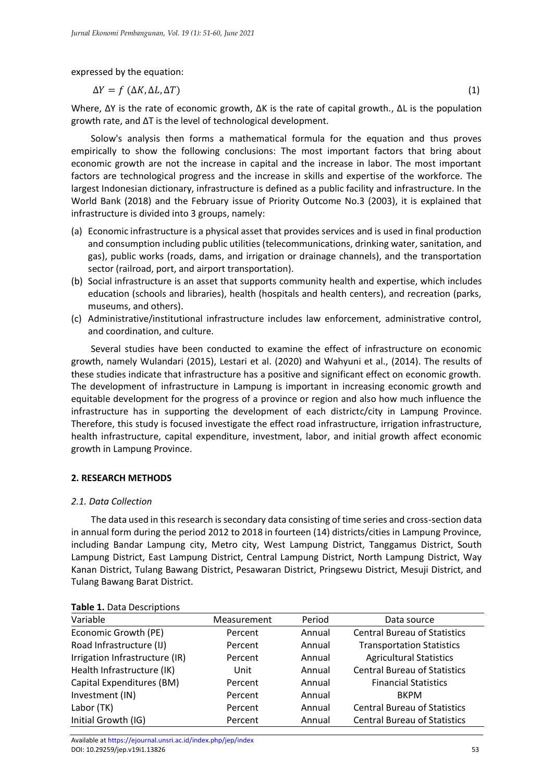expressed by the equation:

$$
\Delta Y = f \left( \Delta K, \Delta L, \Delta T \right) \tag{1}
$$

Where, ∆Y is the rate of economic growth, ∆K is the rate of capital growth., ∆L is the population growth rate, and ∆T is the level of technological development.

Solow's analysis then forms a mathematical formula for the equation and thus proves empirically to show the following conclusions: The most important factors that bring about economic growth are not the increase in capital and the increase in labor. The most important factors are technological progress and the increase in skills and expertise of the workforce. The largest Indonesian dictionary, infrastructure is defined as a public facility and infrastructure. In the World Bank (2018) and the February issue of Priority Outcome No.3 (2003), it is explained that infrastructure is divided into 3 groups, namely:

- (a) Economic infrastructure is a physical asset that provides services and is used in final production and consumption including public utilities (telecommunications, drinking water, sanitation, and gas), public works (roads, dams, and irrigation or drainage channels), and the transportation sector (railroad, port, and airport transportation).
- (b) Social infrastructure is an asset that supports community health and expertise, which includes education (schools and libraries), health (hospitals and health centers), and recreation (parks, museums, and others).
- (c) Administrative/institutional infrastructure includes law enforcement, administrative control, and coordination, and culture.

Several studies have been conducted to examine the effect of infrastructure on economic growth, namely Wulandari (2015), Lestari et al. (2020) and Wahyuni et al., (2014). The results of these studies indicate that infrastructure has a positive and significant effect on economic growth. The development of infrastructure in Lampung is important in increasing economic growth and equitable development for the progress of a province or region and also how much influence the infrastructure has in supporting the development of each districtc/city in Lampung Province. Therefore, this study is focused investigate the effect road infrastructure, irrigation infrastructure, health infrastructure, capital expenditure, investment, labor, and initial growth affect economic growth in Lampung Province.

## **2. RESEARCH METHODS**

## *2.1. Data Collection*

The data used in this research is secondary data consisting of time series and cross-section data in annual form during the period 2012 to 2018 in fourteen (14) districts/cities in Lampung Province, including Bandar Lampung city, Metro city, West Lampung District, Tanggamus District, South Lampung District, East Lampung District, Central Lampung District, North Lampung District, Way Kanan District, Tulang Bawang District, Pesawaran District, Pringsewu District, Mesuji District, and Tulang Bawang Barat District.

| Variable                       | Measurement | Period                                     | Data source                         |  |
|--------------------------------|-------------|--------------------------------------------|-------------------------------------|--|
| Economic Growth (PE)           | Percent     | Annual                                     | <b>Central Bureau of Statistics</b> |  |
| Road Infrastructure (IJ)       | Percent     | Annual<br><b>Transportation Statistics</b> |                                     |  |
| Irrigation Infrastructure (IR) | Percent     | Annual                                     | <b>Agricultural Statistics</b>      |  |
| Health Infrastructure (IK)     | Unit        | Annual                                     | <b>Central Bureau of Statistics</b> |  |
| Capital Expenditures (BM)      | Percent     | Annual                                     | <b>Financial Statistics</b>         |  |
| Investment (IN)                | Percent     | Annual                                     | <b>BKPM</b>                         |  |
| Labor (TK)                     | Percent     | Annual                                     | <b>Central Bureau of Statistics</b> |  |
| Initial Growth (IG)            | Percent     | Annual                                     | <b>Central Bureau of Statistics</b> |  |

#### **Table 1.** Data Descriptions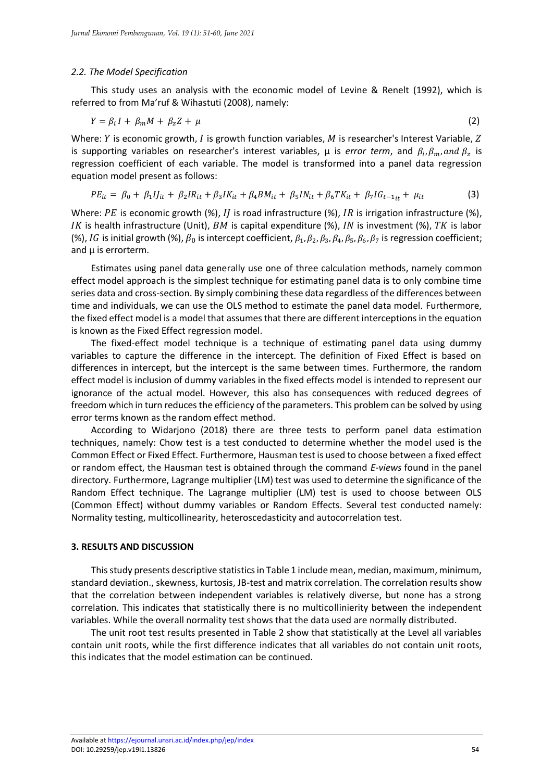#### *2.2. The Model Specification*

This study uses an analysis with the economic model of Levine & Renelt (1992), which is referred to from Ma'ruf & Wihastuti (2008), namely:

$$
Y = \beta_i I + \beta_m M + \beta_z Z + \mu \tag{2}
$$

Where:  $Y$  is economic growth,  $I$  is growth function variables,  $M$  is researcher's Interest Variable,  $Z$ is supporting variables on researcher's interest variables,  $\mu$  is *error term*, and  $\beta_i$ ,  $\beta_m$ , and  $\beta_z$  is regression coefficient of each variable. The model is transformed into a panel data regression equation model present as follows:

$$
PE_{it} = \beta_0 + \beta_1 I_{it} + \beta_2 I R_{it} + \beta_3 I K_{it} + \beta_4 B M_{it} + \beta_5 I N_{it} + \beta_6 T K_{it} + \beta_7 I G_{t-1} + \mu_{it}
$$
(3)

Where: PE is economic growth (%), II is road infrastructure (%), IR is irrigation infrastructure (%), IK is health infrastructure (Unit), BM is capital expenditure (%), IN is investment (%), TK is labor (%), IG is initial growth (%),  $\beta_0$  is intercept coefficient,  $\beta_1$ ,  $\beta_2$ ,  $\beta_3$ ,  $\beta_4$ ,  $\beta_5$ ,  $\beta_6$ ,  $\beta_7$  is regression coefficient; and  $\mu$  is errorterm.

Estimates using panel data generally use one of three calculation methods, namely common effect model approach is the simplest technique for estimating panel data is to only combine time series data and cross-section. By simply combining these data regardless of the differences between time and individuals, we can use the OLS method to estimate the panel data model. Furthermore, the fixed effect model is a model that assumes that there are different interceptions in the equation is known as the Fixed Effect regression model.

The fixed-effect model technique is a technique of estimating panel data using dummy variables to capture the difference in the intercept. The definition of Fixed Effect is based on differences in intercept, but the intercept is the same between times. Furthermore, the random effect model is inclusion of dummy variables in the fixed effects model is intended to represent our ignorance of the actual model. However, this also has consequences with reduced degrees of freedom which in turn reduces the efficiency of the parameters. This problem can be solved by using error terms known as the random effect method.

According to Widarjono (2018) there are three tests to perform panel data estimation techniques, namely: Chow test is a test conducted to determine whether the model used is the Common Effect or Fixed Effect. Furthermore, Hausman test is used to choose between a fixed effect or random effect, the Hausman test is obtained through the command *E-views* found in the panel directory. Furthermore, Lagrange multiplier (LM) test was used to determine the significance of the Random Effect technique. The Lagrange multiplier (LM) test is used to choose between OLS (Common Effect) without dummy variables or Random Effects. Several test conducted namely: Normality testing, multicollinearity, heteroscedasticity and autocorrelation test.

#### **3. RESULTS AND DISCUSSION**

This study presents descriptive statistics in Table 1 include mean, median, maximum, minimum, standard deviation., skewness, kurtosis, JB-test and matrix correlation. The correlation results show that the correlation between independent variables is relatively diverse, but none has a strong correlation. This indicates that statistically there is no multicollinierity between the independent variables. While the overall normality test shows that the data used are normally distributed.

The unit root test results presented in Table 2 show that statistically at the Level all variables contain unit roots, while the first difference indicates that all variables do not contain unit roots, this indicates that the model estimation can be continued.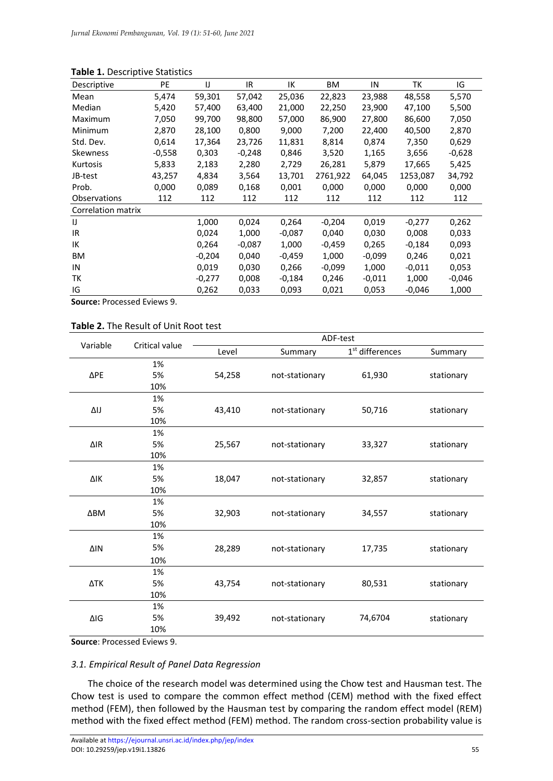| <b>PE</b> | IJ       | IR.      | IΚ       | ВM       | IN       | ТK       | IG       |
|-----------|----------|----------|----------|----------|----------|----------|----------|
| 5,474     | 59,301   | 57,042   | 25,036   | 22,823   | 23,988   | 48,558   | 5,570    |
| 5,420     | 57,400   | 63,400   | 21,000   | 22,250   | 23,900   | 47,100   | 5,500    |
| 7,050     | 99,700   | 98,800   | 57,000   | 86,900   | 27,800   | 86,600   | 7,050    |
| 2,870     | 28,100   | 0,800    | 9,000    | 7,200    | 22,400   | 40,500   | 2,870    |
| 0,614     | 17,364   | 23,726   | 11,831   | 8,814    | 0,874    | 7,350    | 0,629    |
| $-0,558$  | 0,303    | $-0,248$ | 0,846    | 3,520    | 1,165    | 3,656    | $-0,628$ |
| 5,833     | 2,183    | 2,280    | 2,729    | 26,281   | 5,879    | 17,665   | 5,425    |
| 43,257    | 4,834    | 3,564    | 13,701   | 2761,922 | 64,045   | 1253,087 | 34,792   |
| 0,000     | 0,089    | 0,168    | 0,001    | 0,000    | 0,000    | 0,000    | 0,000    |
| 112       | 112      | 112      | 112      | 112      | 112      | 112      | 112      |
|           |          |          |          |          |          |          |          |
|           | 1,000    | 0,024    | 0,264    | $-0,204$ | 0,019    | $-0,277$ | 0,262    |
|           | 0,024    | 1,000    | $-0,087$ | 0,040    | 0,030    | 0,008    | 0,033    |
|           | 0,264    | $-0,087$ | 1,000    | $-0,459$ | 0,265    | $-0,184$ | 0,093    |
|           | $-0,204$ | 0,040    | $-0,459$ | 1,000    | $-0,099$ | 0,246    | 0,021    |
|           | 0,019    | 0,030    | 0,266    | $-0,099$ | 1,000    | $-0.011$ | 0,053    |
|           | $-0,277$ | 0,008    | $-0,184$ | 0,246    | $-0.011$ | 1,000    | $-0,046$ |
|           | 0,262    | 0,033    | 0,093    | 0,021    | 0,053    | $-0,046$ | 1,000    |
|           |          |          |          |          |          |          |          |

## **Table 1.** Descriptive Statistics

**Source:** Processed Eviews 9.

#### **Table 2.** The Result of Unit Root test

| Variable    | Critical value             | ADF-test |                |                             |            |  |  |
|-------------|----------------------------|----------|----------------|-----------------------------|------------|--|--|
|             |                            | Level    | Summary        | 1 <sup>st</sup> differences | Summary    |  |  |
|             | 1%                         |          |                |                             |            |  |  |
| ΔPE         | 5%                         | 54,258   | not-stationary | 61,930                      | stationary |  |  |
|             | 10%                        |          |                |                             |            |  |  |
|             | 1%                         |          |                |                             |            |  |  |
| ΔIJ         | 5%                         | 43,410   | not-stationary | 50,716                      | stationary |  |  |
|             | 10%                        |          |                |                             |            |  |  |
|             | 1%                         |          |                |                             |            |  |  |
| $\Delta$ IR | 5%                         | 25,567   | not-stationary | 33,327                      | stationary |  |  |
|             | 10%                        |          |                |                             |            |  |  |
|             | 1%                         |          |                |                             |            |  |  |
| $\Delta$ lK | 5%                         | 18,047   | not-stationary | 32,857                      | stationary |  |  |
|             | 10%                        |          |                |                             |            |  |  |
|             | 1%                         |          |                |                             |            |  |  |
| $\Delta$ BM | 5%                         | 32,903   | not-stationary | 34,557                      | stationary |  |  |
|             | 10%                        |          |                |                             |            |  |  |
|             | 1%                         |          |                |                             |            |  |  |
| $\Delta$ IN | 5%                         | 28,289   | not-stationary | 17,735                      | stationary |  |  |
|             | 10%                        |          |                |                             |            |  |  |
| ΔTK         | 1%                         |          |                |                             |            |  |  |
|             | 5%                         | 43,754   | not-stationary | 80,531                      | stationary |  |  |
|             | 10%                        |          |                |                             |            |  |  |
| $\Delta$ IG | 1%                         |          |                |                             |            |  |  |
|             | 5%                         | 39,492   | not-stationary | 74,6704                     | stationary |  |  |
|             | 10%                        |          |                |                             |            |  |  |
|             | Causes: Drococcod Evicus O |          |                |                             |            |  |  |

**Source**: Processed Eviews 9.

# *3.1. Empirical Result of Panel Data Regression*

The choice of the research model was determined using the Chow test and Hausman test. The Chow test is used to compare the common effect method (CEM) method with the fixed effect method (FEM), then followed by the Hausman test by comparing the random effect model (REM) method with the fixed effect method (FEM) method. The random cross-section probability value is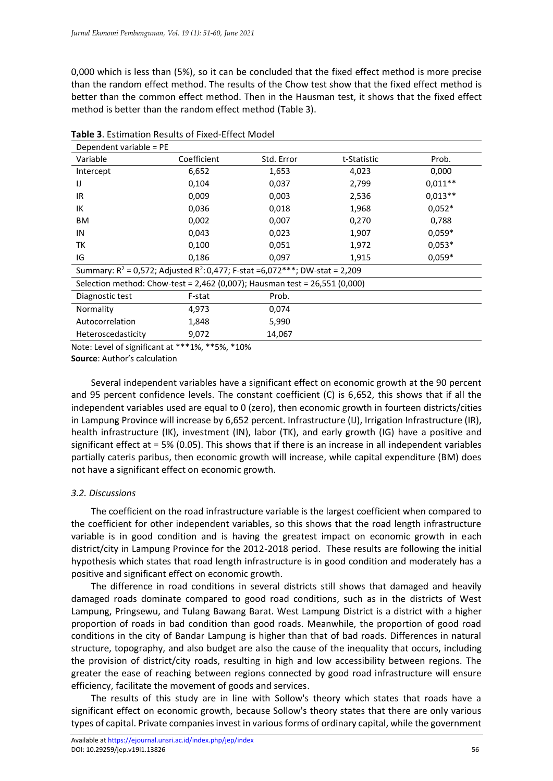0,000 which is less than (5%), so it can be concluded that the fixed effect method is more precise than the random effect method. The results of the Chow test show that the fixed effect method is better than the common effect method. Then in the Hausman test, it shows that the fixed effect method is better than the random effect method (Table 3).

| Dependent variable = PE                                                           |             |            |             |           |  |  |
|-----------------------------------------------------------------------------------|-------------|------------|-------------|-----------|--|--|
| Variable                                                                          | Coefficient | Std. Error | t-Statistic | Prob.     |  |  |
| Intercept                                                                         | 6,652       | 1,653      | 4,023       | 0,000     |  |  |
| IJ                                                                                | 0,104       | 0,037      | 2,799       | $0.011**$ |  |  |
| IR                                                                                | 0,009       | 0,003      | 2,536       | $0,013**$ |  |  |
| IK                                                                                | 0,036       | 0,018      | 1,968       | $0,052*$  |  |  |
| BM                                                                                | 0,002       | 0,007      | 0,270       | 0,788     |  |  |
| IN                                                                                | 0,043       | 0,023      | 1,907       | $0,059*$  |  |  |
| ТK                                                                                | 0,100       | 0,051      | 1,972       | $0,053*$  |  |  |
| IG                                                                                | 0,186       | 0,097      | 1,915       | $0,059*$  |  |  |
| Summary: $R^2$ = 0,572; Adjusted $R^2$ : 0,477; F-stat =6,072***; DW-stat = 2,209 |             |            |             |           |  |  |
| Selection method: Chow-test = 2,462 (0,007); Hausman test = 26,551 (0,000)        |             |            |             |           |  |  |
| Diagnostic test                                                                   | F-stat      | Prob.      |             |           |  |  |
| Normality                                                                         | 4,973       | 0,074      |             |           |  |  |
| Autocorrelation                                                                   | 1,848       | 5,990      |             |           |  |  |
| Heteroscedasticity                                                                | 9,072       | 14,067     |             |           |  |  |

**Table 3**. Estimation Results of Fixed-Effect Model

Note: Level of significant at \*\*\*1%, \*\*5%, \*10%

**Source**: Author's calculation

Several independent variables have a significant effect on economic growth at the 90 percent and 95 percent confidence levels. The constant coefficient (C) is 6,652, this shows that if all the independent variables used are equal to 0 (zero), then economic growth in fourteen districts/cities in Lampung Province will increase by 6,652 percent. Infrastructure (IJ), Irrigation Infrastructure (IR), health infrastructure (IK), investment (IN), labor (TK), and early growth (IG) have a positive and significant effect at = 5% (0.05). This shows that if there is an increase in all independent variables partially cateris paribus, then economic growth will increase, while capital expenditure (BM) does not have a significant effect on economic growth.

# *3.2. Discussions*

The coefficient on the road infrastructure variable is the largest coefficient when compared to the coefficient for other independent variables, so this shows that the road length infrastructure variable is in good condition and is having the greatest impact on economic growth in each district/city in Lampung Province for the 2012-2018 period. These results are following the initial hypothesis which states that road length infrastructure is in good condition and moderately has a positive and significant effect on economic growth.

The difference in road conditions in several districts still shows that damaged and heavily damaged roads dominate compared to good road conditions, such as in the districts of West Lampung, Pringsewu, and Tulang Bawang Barat. West Lampung District is a district with a higher proportion of roads in bad condition than good roads. Meanwhile, the proportion of good road conditions in the city of Bandar Lampung is higher than that of bad roads. Differences in natural structure, topography, and also budget are also the cause of the inequality that occurs, including the provision of district/city roads, resulting in high and low accessibility between regions. The greater the ease of reaching between regions connected by good road infrastructure will ensure efficiency, facilitate the movement of goods and services.

The results of this study are in line with Sollow's theory which states that roads have a significant effect on economic growth, because Sollow's theory states that there are only various types of capital. Private companies invest in various forms of ordinary capital, while the government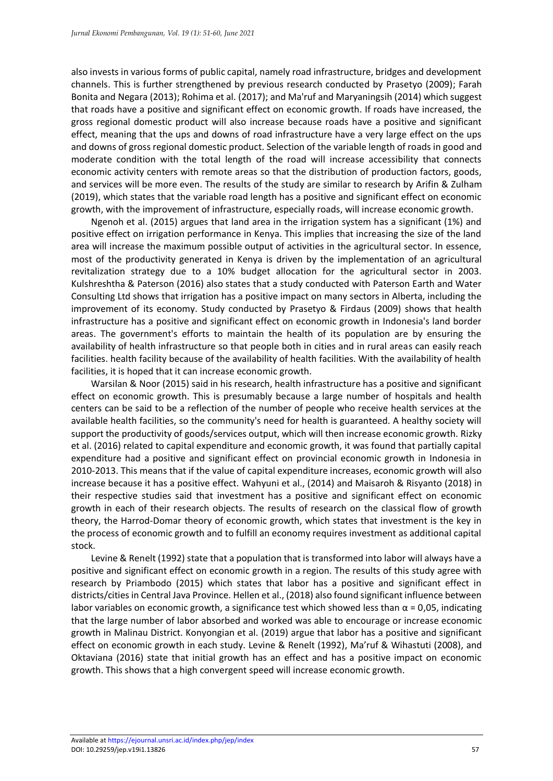also invests in various forms of public capital, namely road infrastructure, bridges and development channels. This is further strengthened by previous research conducted by Prasetyo (2009); Farah Bonita and Negara (2013); Rohima et al. (2017); and Ma'ruf and Maryaningsih (2014) which suggest that roads have a positive and significant effect on economic growth. If roads have increased, the gross regional domestic product will also increase because roads have a positive and significant effect, meaning that the ups and downs of road infrastructure have a very large effect on the ups and downs of gross regional domestic product. Selection of the variable length of roads in good and moderate condition with the total length of the road will increase accessibility that connects economic activity centers with remote areas so that the distribution of production factors, goods, and services will be more even. The results of the study are similar to research by Arifin & Zulham (2019), which states that the variable road length has a positive and significant effect on economic growth, with the improvement of infrastructure, especially roads, will increase economic growth.

Ngenoh et al. (2015) argues that land area in the irrigation system has a significant (1%) and positive effect on irrigation performance in Kenya. This implies that increasing the size of the land area will increase the maximum possible output of activities in the agricultural sector. In essence, most of the productivity generated in Kenya is driven by the implementation of an agricultural revitalization strategy due to a 10% budget allocation for the agricultural sector in 2003. Kulshreshtha & Paterson (2016) also states that a study conducted with Paterson Earth and Water Consulting Ltd shows that irrigation has a positive impact on many sectors in Alberta, including the improvement of its economy. Study conducted by Prasetyo & Firdaus (2009) shows that health infrastructure has a positive and significant effect on economic growth in Indonesia's land border areas. The government's efforts to maintain the health of its population are by ensuring the availability of health infrastructure so that people both in cities and in rural areas can easily reach facilities. health facility because of the availability of health facilities. With the availability of health facilities, it is hoped that it can increase economic growth.

Warsilan & Noor (2015) said in his research, health infrastructure has a positive and significant effect on economic growth. This is presumably because a large number of hospitals and health centers can be said to be a reflection of the number of people who receive health services at the available health facilities, so the community's need for health is guaranteed. A healthy society will support the productivity of goods/services output, which will then increase economic growth. Rizky et al. (2016) related to capital expenditure and economic growth, it was found that partially capital expenditure had a positive and significant effect on provincial economic growth in Indonesia in 2010-2013. This means that if the value of capital expenditure increases, economic growth will also increase because it has a positive effect. Wahyuni et al., (2014) and Maisaroh & Risyanto (2018) in their respective studies said that investment has a positive and significant effect on economic growth in each of their research objects. The results of research on the classical flow of growth theory, the Harrod-Domar theory of economic growth, which states that investment is the key in the process of economic growth and to fulfill an economy requires investment as additional capital stock.

Levine & Renelt (1992) state that a population that is transformed into labor will always have a positive and significant effect on economic growth in a region. The results of this study agree with research by Priambodo (2015) which states that labor has a positive and significant effect in districts/cities in Central Java Province. Hellen et al., (2018) also found significant influence between labor variables on economic growth, a significance test which showed less than  $\alpha$  = 0,05, indicating that the large number of labor absorbed and worked was able to encourage or increase economic growth in Malinau District. Konyongian et al. (2019) argue that labor has a positive and significant effect on economic growth in each study. Levine & Renelt (1992), Ma'ruf & Wihastuti (2008), and Oktaviana (2016) state that initial growth has an effect and has a positive impact on economic growth. This shows that a high convergent speed will increase economic growth.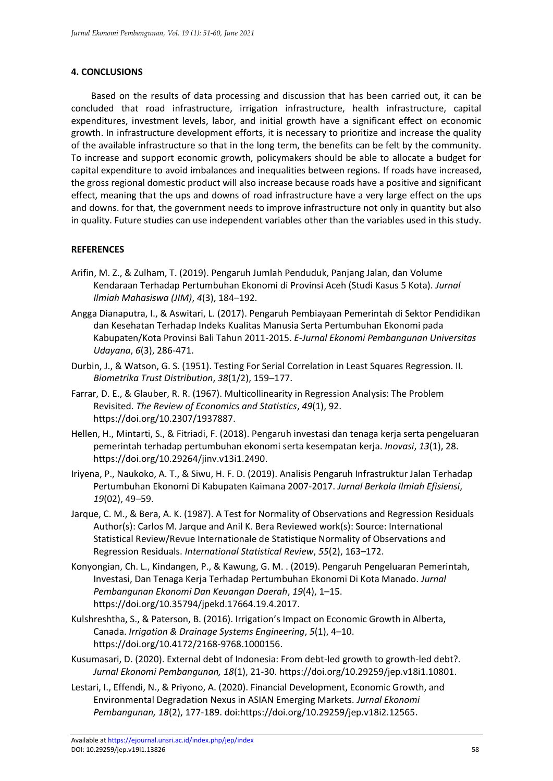## **4. CONCLUSIONS**

Based on the results of data processing and discussion that has been carried out, it can be concluded that road infrastructure, irrigation infrastructure, health infrastructure, capital expenditures, investment levels, labor, and initial growth have a significant effect on economic growth. In infrastructure development efforts, it is necessary to prioritize and increase the quality of the available infrastructure so that in the long term, the benefits can be felt by the community. To increase and support economic growth, policymakers should be able to allocate a budget for capital expenditure to avoid imbalances and inequalities between regions. If roads have increased, the gross regional domestic product will also increase because roads have a positive and significant effect, meaning that the ups and downs of road infrastructure have a very large effect on the ups and downs. for that, the government needs to improve infrastructure not only in quantity but also in quality. Future studies can use independent variables other than the variables used in this study.

### **REFERENCES**

- Arifin, M. Z., & Zulham, T. (2019). Pengaruh Jumlah Penduduk, Panjang Jalan, dan Volume Kendaraan Terhadap Pertumbuhan Ekonomi di Provinsi Aceh (Studi Kasus 5 Kota). *Jurnal Ilmiah Mahasiswa (JIM)*, *4*(3), 184–192.
- Angga Dianaputra, I., & Aswitari, L. (2017). Pengaruh Pembiayaan Pemerintah di Sektor Pendidikan dan Kesehatan Terhadap Indeks Kualitas Manusia Serta Pertumbuhan Ekonomi pada Kabupaten/Kota Provinsi Bali Tahun 2011-2015. *E-Jurnal Ekonomi Pembangunan Universitas Udayana*, *6*(3), 286-471.
- Durbin, J., & Watson, G. S. (1951). Testing For Serial Correlation in Least Squares Regression. II. *Biometrika Trust Distribution*, *38*(1/2), 159–177.
- Farrar, D. E., & Glauber, R. R. (1967). Multicollinearity in Regression Analysis: The Problem Revisited. *The Review of Economics and Statistics*, *49*(1), 92. https://doi.org/10.2307/1937887.
- Hellen, H., Mintarti, S., & Fitriadi, F. (2018). Pengaruh investasi dan tenaga kerja serta pengeluaran pemerintah terhadap pertumbuhan ekonomi serta kesempatan kerja. *Inovasi*, *13*(1), 28. https://doi.org/10.29264/jinv.v13i1.2490.
- Iriyena, P., Naukoko, A. T., & Siwu, H. F. D. (2019). Analisis Pengaruh Infrastruktur Jalan Terhadap Pertumbuhan Ekonomi Di Kabupaten Kaimana 2007-2017. *Jurnal Berkala Ilmiah Efisiensi*, *19*(02), 49–59.
- Jarque, C. M., & Bera, A. K. (1987). A Test for Normality of Observations and Regression Residuals Author(s): Carlos M. Jarque and Anil K. Bera Reviewed work(s): Source: International Statistical Review/Revue Internationale de Statistique Normality of Observations and Regression Residuals. *International Statistical Review*, *55*(2), 163–172.
- Konyongian, Ch. L., Kindangen, P., & Kawung, G. M. . (2019). Pengaruh Pengeluaran Pemerintah, Investasi, Dan Tenaga Kerja Terhadap Pertumbuhan Ekonomi Di Kota Manado. *Jurnal Pembangunan Ekonomi Dan Keuangan Daerah*, *19*(4), 1–15. https://doi.org/10.35794/jpekd.17664.19.4.2017.
- Kulshreshtha, S., & Paterson, B. (2016). Irrigation's Impact on Economic Growth in Alberta, Canada. *Irrigation & Drainage Systems Engineering*, *5*(1), 4–10. https://doi.org/10.4172/2168-9768.1000156.
- Kusumasari, D. (2020). External debt of Indonesia: From debt-led growth to growth-led debt?. *Jurnal Ekonomi Pembangunan, 18*(1), 21-30. https://doi.org/10.29259/jep.v18i1.10801.
- Lestari, I., Effendi, N., & Priyono, A. (2020). Financial Development, Economic Growth, and Environmental Degradation Nexus in ASIAN Emerging Markets. *Jurnal Ekonomi Pembangunan, 18*(2), 177-189. doi:https://doi.org/10.29259/jep.v18i2.12565.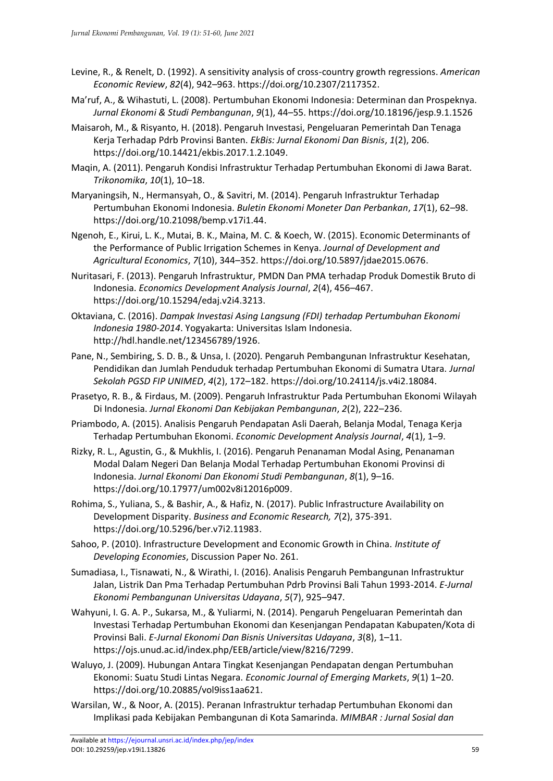- Levine, R., & Renelt, D. (1992). A sensitivity analysis of cross-country growth regressions. *American Economic Review*, *82*(4), 942–963. https://doi.org/10.2307/2117352.
- Ma'ruf, A., & Wihastuti, L. (2008). Pertumbuhan Ekonomi Indonesia: Determinan dan Prospeknya. *Jurnal Ekonomi & Studi Pembangunan*, *9*(1), 44–55. https://doi.org/10.18196/jesp.9.1.1526
- Maisaroh, M., & Risyanto, H. (2018). Pengaruh Investasi, Pengeluaran Pemerintah Dan Tenaga Kerja Terhadap Pdrb Provinsi Banten. *EkBis: Jurnal Ekonomi Dan Bisnis*, *1*(2), 206. https://doi.org/10.14421/ekbis.2017.1.2.1049.
- Maqin, A. (2011). Pengaruh Kondisi Infrastruktur Terhadap Pertumbuhan Ekonomi di Jawa Barat. *Trikonomika*, *10*(1), 10–18.
- Maryaningsih, N., Hermansyah, O., & Savitri, M. (2014). Pengaruh Infrastruktur Terhadap Pertumbuhan Ekonomi Indonesia. *Buletin Ekonomi Moneter Dan Perbankan*, *17*(1), 62–98. https://doi.org/10.21098/bemp.v17i1.44.
- Ngenoh, E., Kirui, L. K., Mutai, B. K., Maina, M. C. & Koech, W. (2015). Economic Determinants of the Performance of Public Irrigation Schemes in Kenya. *Journal of Development and Agricultural Economics*, *7*(10), 344–352. https://doi.org/10.5897/jdae2015.0676.
- Nuritasari, F. (2013). Pengaruh Infrastruktur, PMDN Dan PMA terhadap Produk Domestik Bruto di Indonesia. *Economics Development Analysis Journal*, *2*(4), 456–467. https://doi.org/10.15294/edaj.v2i4.3213.
- Oktaviana, C. (2016). *Dampak Investasi Asing Langsung (FDI) terhadap Pertumbuhan Ekonomi Indonesia 1980-2014*. Yogyakarta: Universitas Islam Indonesia. http://hdl.handle.net/123456789/1926.
- Pane, N., Sembiring, S. D. B., & Unsa, I. (2020). Pengaruh Pembangunan Infrastruktur Kesehatan, Pendidikan dan Jumlah Penduduk terhadap Pertumbuhan Ekonomi di Sumatra Utara. *Jurnal Sekolah PGSD FIP UNIMED*, *4*(2), 172–182. https://doi.org/10.24114/js.v4i2.18084.
- Prasetyo, R. B., & Firdaus, M. (2009). Pengaruh Infrastruktur Pada Pertumbuhan Ekonomi Wilayah Di Indonesia. *Jurnal Ekonomi Dan Kebijakan Pembangunan*, *2*(2), 222–236.
- Priambodo, A. (2015). Analisis Pengaruh Pendapatan Asli Daerah, Belanja Modal, Tenaga Kerja Terhadap Pertumbuhan Ekonomi. *Economic Development Analysis Journal*, *4*(1), 1–9.
- Rizky, R. L., Agustin, G., & Mukhlis, I. (2016). Pengaruh Penanaman Modal Asing, Penanaman Modal Dalam Negeri Dan Belanja Modal Terhadap Pertumbuhan Ekonomi Provinsi di Indonesia. *Jurnal Ekonomi Dan Ekonomi Studi Pembangunan*, *8*(1), 9–16. https://doi.org/10.17977/um002v8i12016p009.
- Rohima, S., Yuliana, S., & Bashir, A., & Hafiz, N. (2017). Public Infrastructure Availability on Development Disparity. *Business and Economic Research, 7*(2), 375-391. https://doi.org/10.5296/ber.v7i2.11983.
- Sahoo, P. (2010). Infrastructure Development and Economic Growth in China. *Institute of Developing Economies*, Discussion Paper No. 261.
- Sumadiasa, I., Tisnawati, N., & Wirathi, I. (2016). Analisis Pengaruh Pembangunan Infrastruktur Jalan, Listrik Dan Pma Terhadap Pertumbuhan Pdrb Provinsi Bali Tahun 1993-2014. *E-Jurnal Ekonomi Pembangunan Universitas Udayana*, *5*(7), 925–947.
- Wahyuni, I. G. A. P., Sukarsa, M., & Yuliarmi, N. (2014). Pengaruh Pengeluaran Pemerintah dan Investasi Terhadap Pertumbuhan Ekonomi dan Kesenjangan Pendapatan Kabupaten/Kota di Provinsi Bali. *E-Jurnal Ekonomi Dan Bisnis Universitas Udayana*, *3*(8), 1–11. https://ojs.unud.ac.id/index.php/EEB/article/view/8216/7299.
- Waluyo, J. (2009). Hubungan Antara Tingkat Kesenjangan Pendapatan dengan Pertumbuhan Ekonomi: Suatu Studi Lintas Negara. *Economic Journal of Emerging Markets*, *9*(1) 1–20. https://doi.org/10.20885/vol9iss1aa621.
- Warsilan, W., & Noor, A. (2015). Peranan Infrastruktur terhadap Pertumbuhan Ekonomi dan Implikasi pada Kebijakan Pembangunan di Kota Samarinda. *MIMBAR : Jurnal Sosial dan*